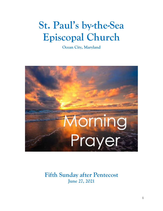# **St. Paul's by-the-Sea Episcopal Church**

**Ocean City, Maryland**



**Fifth Sunday after Pentecost June 27, 2021**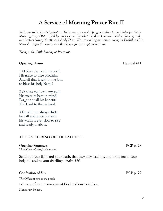## **A Service of Morning Prayer Rite II**

*Welcome to St. Paul's by-the-Sea. Today we are worshipping according to the Order for Daily Morning Prayer Rite II, led by our Licensed Worship Leaders Tom and Debbie Shuster, and our Lectors Nancy Knotts and Andy Diaz. We are reading our lessons today in English and in Spanish. Enjoy the service and thank you for worshipping with us.*

*Today is the Fifth Sunday of Pentecost*

#### **Opening Hymn** Hymnal 411

1 O bless the Lord, my soul! His grace to thee proclaim! And all that is within me join to bless his holy Name!

2 O bless the Lord, my soul! His mercies bear in mind! Forget not all his benefits! The Lord to thee is kind.

3 He will not always chide; he will with patience wait; his wrath is ever slow to rise and ready to abate.

#### **THE GATHERING OF THE FAITHFUL**

#### **Opening Sentences** BCP p. 78

*The Officiant(s) begin the service:*

Send out your light and your truth, that they may lead me, and bring me to your holy hill and to your dwelling. *Psalm 43:3*

#### **Confession of Sin** BCP p. 79

*The Officiant says to the people*

Let us confess our sins against God and our neighbor.

*Silence may be kept.*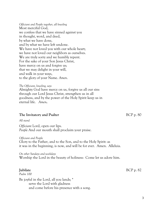*Officiant and People together, all kneeling* Most merciful God, we confess that we have sinned against you in thought, word, and deed, by what we have done, and by what we have left undone. We have not loved you with our whole heart; we have not loved our neighbors as ourselves. We are truly sorry and we humbly repent. For the sake of your Son Jesus Christ, have mercy on us and forgive us; that we may delight in your will, and walk in your ways, to the glory of your Name. *Amen*.

*The Officiant, kneeling, says* Almighty God have mercy on us, forgive us all our sins through our Lord Jesus Christ, strengthen us in all goodness, and by the power of the Holy Spirit keep us in eternal life. *Amen***.**

### **The Invitatory and Psalter** BCP p. 80

*All stand*

*Officiant* Lord, open our lips. *People* And our mouth shall proclaim your praise.

*Officiant and People* Glory to the Father, and to the Son, and to the Holy Spirit: as it was in the beginning, is now, and will be for ever. Amen. Alleluia.

*On other Sundays and weekdays* Worship the Lord in the beauty of holiness: Come let us adore him.

*Psalm 100*

Be joyful in the Lord, all you lands; \* serve the Lord with gladness and come before his presence with a song.

**Jubilate** BCP p. 82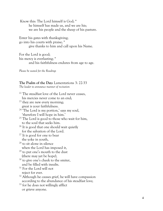Know this: The Lord himself is God; \* he himself has made us, and we are his; we are his people and the sheep of his pasture.

Enter his gates with thanksgiving; go into his courts with praise; \* give thanks to him and call upon his Name.

For the Lord is good; his mercy is everlasting; \* and his faithfulness endures from age to age.

*Please be seated for the Readings*

#### **The Psalm of the Day :** Lamentations 3: 22 -33

*The leader to announce manner of recitation*

<sup>22</sup> The steadfast love of the Lord never ceases, his mercies never come to an end; <sup>23</sup> they are new every morning; great is your faithfulness.  $24$  The Lord is my portion,' says my soul, 'therefore I will hope in him.'  $25$  The Lord is good to those who wait for him, to the soul that seeks him. <sup>26</sup> It is good that one should wait quietly for the salvation of the Lord. <sup>27</sup> It is good for one to bear the yoke in youth, <sup>28</sup> to sit alone in silence when the Lord has imposed it, <sup>29</sup> to put one's mouth to the dust (there may yet be hope), <sup>30</sup> to give one's cheek to the smiter, and be filled with insults. <sup>31</sup> For the Lord will not reject for ever.  $32$  Although he causes grief, he will have compassion according to the abundance of his steadfast love; <sup>33</sup> for he does not willingly afflict or grieve anyone.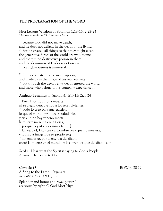#### **THE PROCLAMATION OF THE WORD**

**First Lesson:** Wisdom of Solomon 1:13-15; 2:23-24 *The Reader reads the Old Testament Lesson* 

<sup>13</sup> because God did not make death, and he does not delight in the death of the living. <sup>14</sup> For he created all things so that they might exist; the generative forces of the world are wholesome, and there is no destructive poison in them, and the dominion of Hades is not on earth. <sup>15</sup> For righteousness is immortal.

<sup>23</sup> for God created us for incorruption, and made us in the image of his own eternity,  $^{24}$  but through the devil's envy death entered the world, and those who belong to his company experience it.

#### **Antiguo Testamento:** Sabiduría 1:13-15; 2:23-24

<sup>13</sup> Pues Dios no hizo la muerte ni se alegra destruyendo a los seres vivientes. <sup>14</sup>Todo lo creó para que existiera; lo que el mundo produce es saludable, y en ello no hay veneno mortal; la muerte no reina en la tierra, <sup>15</sup> porque la justicia es inmortal. […] <sup>23</sup> En verdad, Dios creó al hombre para que no muriera, y lo hizo a imagen de su propio ser; <sup>24</sup> sin embargo, por la envidia del diablo entró la muerte en el mundo, y la sufren los que del diablo son.

*Reader:* Hear what the Spirit is saying to God's People. *Answer:* Thanks be to God

**A Song to the Lamb** *Dignus es Revelation 4:11; 5:9-10, 13*

Splendor and honor and royal power \* are yours by right, O God Most High,

**Canticle 18** EOW p. 28-29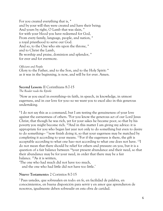For you created everything that is, \* and by your will they were created and have their being; And yours by right, O Lamb that was slain, \* for with your blood you have redeemed for God, From every family, language, people, and nation, \* a royal priesthood to serve our God. And so, to the One who sits upon the throne, \* and to Christ the Lamb, Be worship and praise, dominion and splendor, \* for ever and for evermore.

*Officiant and People* Glory to the Father, and to the Son, and to the Holy Spirit: \* as it was in the beginning, is now, and will be for ever. Amen.

**Second Lesson:** II Corinthians 8:7-15

*The Reader reads the Epistle*

<sup>7</sup>Now as you excel in everything—in faith, in speech, in knowledge, in utmost eagerness, and in our love for you—so we want you to excel also in this generous undertaking.

<sup>8</sup> I do not say this as a command, but I am testing the genuineness of your love against the earnestness of others. <sup>9</sup>For you know the generous act of our Lord Jesus Christ, that though he was rich, yet for your sakes he became poor, so that by his poverty you might become rich. <sup>10</sup>And in this matter I am giving my advice: it is appropriate for you who began last year not only to do something but even to desire to do something— <sup>11</sup>now finish doing it, so that your eagerness may be matched by completing it according to your means. <sup>12</sup>For if the eagerness is there, the gift is acceptable according to what one has—not according to what one does not have. <sup>13</sup>I do not mean that there should be relief for others and pressure on you, but it is a question of a fair balance between <sup>14</sup>your present abundance and their need, so that their abundance may be for your need, in order that there may be a fair balance. <sup>15</sup>As it is written,

'The one who had much did not have too much, and the one who had little did not have too little.'

#### **Nuevo Testamento:** 2 Corintios 8:7-15

<sup>7</sup> Pues ustedes, que sobresalen en todo: en fe, en facilidad de palabra, en conocimientos, en buena disposición para servir y en amor que aprendieron de nosotros, igualmente deben sobresalir en esta obra de caridad.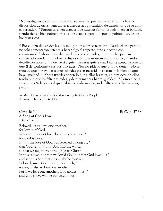<sup>8</sup> No les digo esto como un mandato; solamente quiero que conozcan la buena disposición de otros, para darles a ustedes la oportunidad de demostrar que su amor es verdadero. <sup>9</sup> Porque ya saben ustedes que nuestro Señor Jesucristo, en su bondad, siendo rico se hizo pobre por causa de ustedes, para que por su pobreza ustedes se hicieran ricos.

<sup>10</sup> Por el bien de ustedes les doy mi opinión sobre este asunto. Desde el año pasado, no sólo comenzaron ustedes a hacer algo al respecto, sino a hacerlo con entusiasmo. <sup>11</sup>Ahora pues, dentro de sus posibilidades, terminen lo que han comenzado con la misma buena disposición que mostraron al principio, cuando decidieron hacerlo. <sup>12</sup> Porque si alguien de veras quiere dar, Dios le acepta la ofrenda que él dé conforme a sus posibilidades. Dios no pide lo que uno no tiene. <sup>13</sup> No se trata de que por ayudar a otros ustedes pasen necesidad; se trata más bien de que haya igualdad. <sup>14</sup>Ahora ustedes tienen lo que a ellos les falta; en otra ocasión ellos tendrán lo que les falte a ustedes, y de esta manera habrá igualdad. <sup>15</sup> Como dice la Escritura: «Ni le sobró al que había recogido mucho, ni le faltó al que había recogido poco.»

*Reader:* Hear what the Spirit is saying to God's People. *Answer:* Thanks be to God

**A Song of God's Love**

**Canticle N** EOW p. 37-38

*1 John 4:7-11* Beloved, let us love one another, \* for love is of God. Whoever does not love does not know God, \* for God is Love. In this the love of God was revealed among us, \* that God sent his only Son into the world, so that we might live through Jesus Christ. In this is love, not that we loved God but that God loved us \* and sent his Son that sins might be forgiven. Beloved, since God loved us so much, \* we ought also to love one another. For if we love one another, God abides in us, \* and God's love will be perfected in us.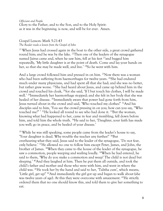*Officiant and People* Glory to the Father, and to the Son, and to the Holy Spirit: as it was in the beginning, is now, and will be for ever. Amen.

#### Gospel Lesson: Mark 5:21-43 *The Reader reads a lesson from the Gospel of John*

<sup>21</sup>When Jesus had crossed again in the boat to the other side, a great crowd gathered round him; and he was by the lake. <sup>22</sup>Then one of the leaders of the synagogue named Jairus came and, when he saw him, fell at his feet <sup>23</sup>and begged him repeatedly, 'My little daughter is at the point of death. Come and lay your hands on her, so that she may be made well, and live.' <sup>24</sup>So he went with him.

And a large crowd followed him and pressed in on him. <sup>25</sup>Now there was a woman who had been suffering from haemorrhages for twelve years. <sup>26</sup>She had endured much under many physicians, and had spent all that she had; and she was no better, but rather grew worse. <sup>27</sup>She had heard about Jesus, and came up behind him in the crowd and touched his cloak, <sup>28</sup>for she said, 'If I but touch his clothes, I will be made well.' <sup>29</sup>Immediately her haemorrhage stopped; and she felt in her body that she was healed of her disease. <sup>30</sup>Immediately aware that power had gone forth from him, Jesus turned about in the crowd and said, 'Who touched my clothes?' <sup>31</sup>And his disciples said to him, 'You see the crowd pressing in on you; how can you say, "Who touched me?" '<sup>32</sup>He looked all round to see who had done it.<sup>33</sup>But the woman, knowing what had happened to her, came in fear and trembling, fell down before him, and told him the whole truth. <sup>34</sup>He said to her, 'Daughter, your faith has made you well; go in peace, and be healed of your disease.'

<sup>35</sup>While he was still speaking, some people came from the leader's house to say, 'Your daughter is dead. Why trouble the teacher any further?' <sup>36</sup>But overhearing what they said, Jesus said to the leader of the synagogue, 'Do not fear, only believe.' <sup>37</sup>He allowed no one to follow him except Peter, James, and John, the brother of James. <sup>38</sup>When they came to the house of the leader of the synagogue, he saw a commotion, people weeping and wailing loudly. <sup>39</sup>When he had entered, he said to them, 'Why do you make a commotion and weep? The child is not dead but sleeping.' <sup>40</sup>And they laughed at him. Then he put them all outside, and took the child's father and mother and those who were with him, and went in where the child was. <sup>41</sup>He took her by the hand and said to her, 'Talitha cum', which means, 'Little girl, get up!' <sup>42</sup>And immediately the girl got up and began to walk about (she was twelve years of age). At this they were overcome with amazement. <sup>43</sup>He strictly ordered them that no one should know this, and told them to give her something to eat.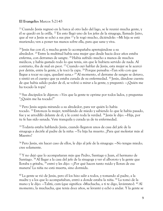#### **El Evangelio:** Marcos 5:21-43

<sup>21</sup> Cuando Jesús regresó en la barca al otro lado del lago, se le reunió mucha gente, y él se quedó en la orilla. <sup>22</sup> En esto llegó uno de los jefes de la sinagoga, llamado Jairo, que al ver a Jesús se echó a sus pies <sup>23</sup> y le rogó mucho, diciéndole: —Mi hija se está muriendo; ven a poner tus manos sobre ella, para que sane y viva.

<sup>24</sup> Jesús fue con él, y mucha gente lo acompañaba apretujándose a su alrededor. <sup>25</sup> Entre la multitud había una mujer que desde hacía doce años estaba enferma, con derrames de sangre. <sup>26</sup>Había sufrido mucho a manos de muchos médicos, y había gastado todo lo que tenía, sin que le hubiera servido de nada. Al contrario, iba de mal en peor. <sup>27</sup> Cuando oyó hablar de Jesús, esta mujer se le acercó por detrás, entre la gente, y le tocó la capa. <sup>28</sup> Porque pensaba: «Tan sólo con que llegue a tocar su capa, quedaré sana.» <sup>29</sup>Al momento, el derrame de sangre se detuvo, y sintió en el cuerpo que ya estaba curada de su enfermedad. <sup>30</sup> Jesús, dándose cuenta de que había salido poder de él, se volvió a mirar a la gente, y preguntó: —¿Quién me ha tocado la ropa?

<sup>31</sup> Sus discípulos le dijeron: —Ves que la gente te oprime por todos lados, y preguntas "¿Quién me ha tocado?"

<sup>32</sup> Pero Jesús seguía mirando a su alrededor, para ver quién lo había tocado. <sup>33</sup> Entonces la mujer, temblando de miedo y sabiendo lo que le había pasado, fue y se arrodilló delante de él, y le contó toda la verdad. <sup>34</sup> Jesús le dijo: —Hija, por tu fe has sido sanada. Vete tranquila y curada ya de tu enfermedad.

<sup>35</sup>Todavía estaba hablando Jesús, cuando llegaron unos de casa del jefe de la sinagoga a decirle al padre de la niña: —Tu hija ha muerto. ¿Para qué molestar más al Maestro?

<sup>36</sup> Pero Jesús, sin hacer caso de ellos, le dijo al jefe de la sinagoga: —No tengas miedo; cree solamente.

<sup>37</sup> Y no dejó que lo acompañaran más que Pedro, Santiago y Juan, el hermano de Santiago. <sup>38</sup>Al llegar a la casa del jefe de la sinagoga y ver el alboroto y la gente que lloraba y gritaba, <sup>39</sup> entró y les dijo: —¿Por qué hacen tanto ruido y lloran de esa manera? La niña no está muerta, sino dormida.

<sup>40</sup> La gente se rió de Jesús, pero él los hizo salir a todos, y tomando al padre, a la madre y a los que lo acompañaban, entró a donde estaba la niña. <sup>41</sup> La tomó de la mano y le dijo: —Talitá, cum (que significa: «Muchacha, a ti te digo, levántate»). <sup>42</sup>Al momento, la muchacha, que tenía doce años, se levantó y echó a andar. Y la gente se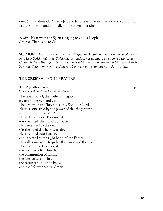quedó muy admirada. <sup>43</sup> Pero Jesús ordenó severamente que no se lo contaran a nadie, y luego mandó que dieran de comer a la niña.

*Reader:* Hear what the Spirit is saying to God's People. *Answer:* Thanks be to God

**SERMON -** *Today's sermon is entitled "Expectant Hope" and has been prepared by The Rev. Lucy Stricklund. Rev. Stricklund currently serves as curate at St. John's Episcopal Church in New Braunfels, Texas, and holds a Master of Divinity and a Master of Arts in Spiritual Formation from the Episcopal Seminary of the Southwest in Austin, Texas.*

#### **THE CREED AND THE PRAYERS**

**The Apostles' Creed** BCP p. 96 *Officiant and People together say, all standing* 

I believe in God, the Father almighty, creator of heaven and earth. I believe in Jesus Christ, his only Son, our Lord, He was conceived by the power of the Holy Spirit and born of the Virgin Mary. He suffered under Pontius Pilate, was crucified, died, and was buried. He descended to the dead. On the third day he rose again, He ascended into heaven, and is seated at the right hand of the Father. He will come again to judge the living and the dead. I believe in the Holy Spirit, the holy catholic Church, the communion of saints, the forgiveness of sins, the resurrection of the body, and the life everlasting. Amen.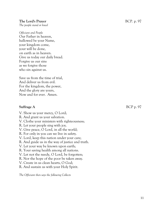#### **The Lord's Prayer** BCP. p. 97

*The people stand or kneel*

*Officiant and People*  Our Father in heaven, hallowed be your Name, your kingdom come, your will be done, on earth as in heaven. Give us today our daily bread. Forgive us our sins as we forgive those who sin against us.

Save us from the time of trial, And deliver us from evil. For the kingdom, the power, And the glory are yours, Now and for ever. Amen.

#### **Suffrage A** BCP p. 97

V. Show us your mercy, O Lord;

- R. And grant us your salvation.
- V. Clothe your ministers with righteousness;
- R. Let your people sing with joy.
- V. Give peace, O Lord, in all the world;
- R. For only in you can we live in safety.
- V. Lord, keep this nation under your care;
- R. And guide us in the way of justice and truth.
- V. Let your way be known upon earth;
- R. Your saving health among all nations.
- V. Let not the needy, O Lord, be forgotten;
- R. Nor the hope of the poor be taken away.
- V. Create in us clean hearts, O God;
- R. And sustain us with your Holy Spirit.

*The Officiant then says the following Collects*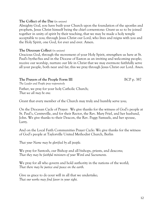#### **The Collect of the Day** (*in unison)*

Almighty God, you have built your Church upon the foundation of the apostles and prophets, Jesus Christ himself being the chief cornerstone: Grant us so to be joined together in unity of spirit by their teaching, that we may be made a holy temple acceptable to you; through Jesus Christ our Lord, who lives and reigns with you and the Holy Spirit, one God, for ever and ever. Amen.

#### **The Diocesan Collect** *(in unison)*

Gracious God, through the movement of your Holy Spirit, strengthen us here at St. Paul's by-the-Sea and in the Diocese of Easton as an inviting and welcoming people; receive our worship, nurture our life in Christ that we may evermore faithfully serve all your people, both near and far; this we pray through Jesus Christ our Lord. *Amen.*

#### **The Prayers of the People Form III** BCP p. 387

*The Leader and People pray responsively*

Father, we pray for your holy Catholic Church; *That we all may be one.*

Grant that every member of the Church may truly and humbly serve you;

On the Diocesan Cycle of Prayer: We give thanks for the witness of God's people at St. Paul's, Centreville, and for their Rector, the Rev. Mary Friel, and her husband, John. We give thanks to their Deacon, the Rev. Peggy Samuels, and her spouse, Larry.

And on the Local Faith Communities Prayer Cycle: We give thanks for the witness of God's people at Taylorville United Methodist Church, Berlin

*That your Name may be glorified by all people.*

We pray for Santosh, our Bishop and all bishops, priests, and deacons; *That they may be faithful ministers of your Word and Sacraments.*

We pray for all who govern and hold authority in the nations of the world; *That there may be justice and peace on the earth.*

Give us grace to do your will in all that we undertake; *That our works may find favor in your sight.*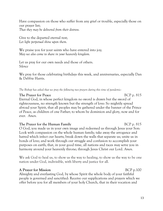Have compassion on those who suffer from any grief or trouble, especially those on our prayer list; *That they may be delivered from their distress.*

Give to the departed eternal rest; *Let light perpetual shine upon them.*

We praise you for your saints who have entered into joy; *May we also come to share in your heavenly kingdom.*

Let us pray for our own needs and those of others. *Silence*

We pray for those celebrating birthdays this week, and anniversaries, especially Dan & Debbie Harris.

*The Bishop has asked that we pray the following two prayers during this time of pandemic:*

#### **The Prayer for Peace** BCP p. 815

Eternal God, in whose perfect kingdom no sword is drawn but the sword of righteousness, no strength known but the strength of love: So mightily spread abroad your Spirit, that all peoples may be gathered under the banner of the Prince of Peace, as children of one Father; to whom be dominion and glory, now and for ever. *Amen.*

**The Prayer for the Human Family** BCP p. 815 O God, you made us in your own image and redeemed us through Jesus your Son: Look with compassion on the whole human family; take away the arrogance and hatred which infect our hearts; break down the walls that separate us; unite us in bonds of love; and work through our struggle and confusion to accomplish your purposes on earth; that, in your good time, all nations and races may serve you in harmony around your heavenly throne; through Jesus Christ our Lord. *Amen.*

We ask God to heal us, to show us the way to healing, to show us the way to be one nation under God, indivisible, with liberty and justice for all.

#### **A** Prayer for Mission BCP p.100

Almighty and everlasting God, by whose Spirit the whole body of your faithful people is governed and sanctified: Receive our supplications and prayers which we offer before you for all members of your holy Church, that in their vocation and

13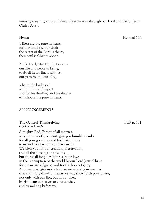ministry they may truly and devoutly serve you; through our Lord and Savior Jesus Christ. *Amen.*

**Hymn** Hymnal 656

1 Blest are the pure in heart, for they shall see our God; the secret of the Lord is theirs, their soul is Christ's abode.

2 The Lord, who left the heavens our life and peace to bring, to dwell in lowliness with us, our pattern and our King;

3 he to the lowly soul will still himself impart and for his dwelling and his throne will choose the pure in heart.

#### **ANNOUNCEMENTS**

#### **The General Thanksgiving** BCP p. 101

*Officiant and People*

Almighty God, Father of all mercies, we your unworthy servants give you humble thanks for all your goodness and loving-kindness to us and to all whom you have made. We bless you for our creation, preservation, and all the blessings of this life; but above all for your immeasurable love in the redemption of the world by our Lord Jesus Christ; for the means of grace, and for the hope of glory. And, we pray, give us such an awareness of your mercies, that with truly thankful hearts we may show forth your praise, not only with our lips, but in our lives, by giving up our selves to your service, and by walking before you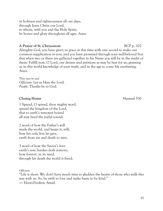in holiness and righteousness all our days; through Jesus Christ our Lord, to whom, with you and the Holy Spirit, be honor and glory throughout all ages. *Amen.*

### **A Prayer of St. Chrysostom** BCP p. 102

Almighty God, you have given us grace at this time with one accord to make our common supplication to you; and you have promised through your well-beloved Son that when two or three are gathered together in his Name you will be in the midst of them: Fulfill now, O Lord, our desires and petitions as may be best for us; granting us in this world knowledge of your truth, and in the age to come life everlasting. *Amen.*

*Then may be said Officiant:* Let us bless the Lord. *People:* Thanks be to God.

### **Closing Hymn** Hymnal 530

1 Spread, O spread, thou mighty word, spread the kingdom of the Lord, that to earth's remotest bound all may heed the joyful sound;

2 word of how the Father's will made the world, and keeps it, still; how his only Son he gave, earth from sin and death to save;

3 word of how the Savior's love earth's sore burden doth remove; how forever, in its need, through his death the world is freed;

*Officiant*

"Life is short. We don't have much time to gladden the hearts of those who walk this way with us. So, be swift to love and make haste to be kind." ― Henri-Frédéric Amiel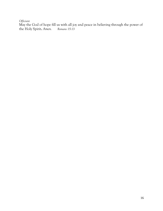*Officiant*

May the God of hope fill us with all joy and peace in believing through the power of the Holy Spirit. Amen. Romans 15:13 the Holy Spirit. Amen.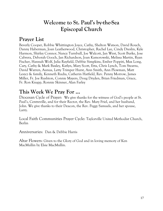## **Welcome to St. Paul's by-the-Sea Episcopal Church**

## **Prayer List**

Beverly Cooper, Robbie Whittington Joyce, Cathy, Shelton Watson, David Rouch, Danny Haberman, Joan Leatherwood, Christopher, Rachel Lee, Cindy Dreslin, Kyle Harmon, Shirley Connor, Nancy Turnbull, Joe Walcott, Jan West, Scott Burke, Jose Cabrera, Deborah Gooch, Jan Richardson, Joan Kamorowski, Melissa Martin, Ryan Fischer, Hannah Wolf, Julia Rayfield, Debbie Simpkins, Ember Poppiti, Max Long, Cary, Cathy & Mark Baxley, Katlyn, Mary Scott, Etta, Chris Lynch, Tom Stearns, David Warren, Aunua, Letty Trimper Hurst, Ann Smith, Ann Plowman, Matt Leszcz & family, Kenneth Rudia, Catherin Hatfield, Rev. Penny Morrow, James Miller, Fr. Joe Rushton, Connie Mayers, Doug Dryden, Brian Friedman, Grace, Fr. Ron Knapp, Ronnie Skinner, Alan Farley

## **This Week We Pray For ...**

Diocesan Cycle of Prayer: We give thanks for the witness of God's people at St. Paul's, Centreville, and for their Rector, the Rev. Mary Friel, and her husband, John. We give thanks to their Deacon, the Rev. Peggy Samuels, and her spouse, Larry.

Local Faith Communities Prayer Cycle: Taylorville United Methodist Church, Berlin

Anniversaries: Dan & Debbie Harris

Altar Flowers: Given to the Glory of God and in loving memory of Ken MacMullin by Elsie MacMullin.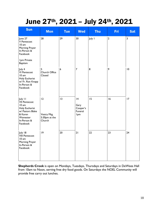## June 27th, 2021 – July 24th, 2021

| <b>Sun</b>                                                                                                                       | <b>Mon</b>                                   | <b>Tue</b>       | <b>Wed</b>                              | <b>Thu</b> | <b>Fri</b>     | <b>Sat</b> |
|----------------------------------------------------------------------------------------------------------------------------------|----------------------------------------------|------------------|-----------------------------------------|------------|----------------|------------|
| June 27<br>V Pentecost<br>10 am<br>Morning Prayer<br>In-Person &<br>Facebook<br>Ipm Private<br><b>Baptism</b>                    | 28                                           | 29               | 30                                      | July I     | $\overline{2}$ | 3          |
| July 4<br>VI Pentecost<br>10 am<br>Holy Eucharist<br>w/ Fr. Ron Knapp<br>In-Person &<br>Facebook                                 | 5<br>Church Office<br>Closed                 | $\boldsymbol{6}$ | $\boldsymbol{7}$                        | 8          | 9              | 10         |
| July 11<br><b>VII Pentecost</b><br>10 am<br>Holy Eucharist<br>w/ Pastors Blake<br>& Karen<br>Wamester<br>In-Person &<br>Facebook | 12<br>Vestry Mtg.<br>5:30pm at the<br>Church | 13               | 4<br>Gary<br>Cooper's<br>Funeral<br>Ipm | 15         | 16             | 17         |
| July 18<br><b>VIII Pentecost</b><br>10 am<br>Morning Prayer<br>In-Person &<br>Facebook                                           | 9                                            | 20               | 21                                      | 22         | 23             | 24         |

**Shepherds Crook** is open on Mondays, Tuesdays, Thursdays and Saturdays in DeWees Hall from 10am to Noon, serving free dry food goods. On Saturdays the NOEL Community will provide free carry out lunches.